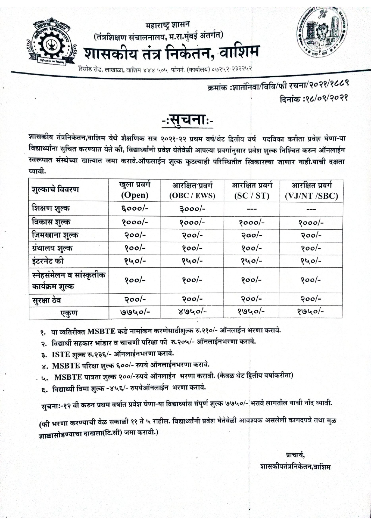

महाराष्ट्र शासन (तंत्रशिक्षण संचालनालय, म.रा.मुंबई अंतर्गत) शासकीय तंत्र निकेतन, वाशिम

.<br>रिसोड रोड, लाखाळा, वाशिम ४४४ ५०५ फोननं. (कार्यालय) ०७२५२-२३२२५२

# क्रमांक :शातंनिवा/विवि/फी रचना/२०२१/१८८९ दिनांक :१८/०९/२०२१



शासकीय तंत्रनिकेतन,वाशिम येथे शैक्षणिक सत्र २०२१-२२ प्रथम वर्ष/थेट द्वितीय वर्ष पदविका करीता प्रवेश घेणा-या विद्यार्थ्यांना सुचित करण्यात येते की, विद्यार्थ्यांनी प्रवेश घेतेवेळी आपल्या प्रवर्गानुसार प्रवेश शुल्क निश्चित करुन ऑनलाईन स्वरूपात संस्थेच्या खात्यात जमा करावे.ऑफलाईन शुल्क कुठल्याही परिस्थितीत स्विकारल्या जाणार नाही.याची दक्षता घ्यावी.

| शुल्काचे विवरण                              | खुला प्रवगे<br>(Open) | आरक्षित प्रवर्ग<br>(OBC / EWS) | आरक्षित प्रवर्ग<br>(SC / ST) | आरक्षित प्रवर्ग<br>(VJ/NT /SBC) |
|---------------------------------------------|-----------------------|--------------------------------|------------------------------|---------------------------------|
| शिक्षण शुल्क                                | $5000/-$              | ३०००/-                         |                              |                                 |
| विकास शुल्क                                 | $8000/-$              | $8000/-$                       | $8000/-$                     | $8000/-$                        |
| जिमखाना शुल्क                               | २००/-                 | $200/-$                        | $200/-$                      | $200/-$                         |
| ग्रंथालय शुल्क                              | $800/-$               | $800/-$                        | $800/-$                      | $800/-$                         |
| इंटरनेट फी                                  | १५०/-                 | १५०/-                          | १५०/-                        | १५०/-                           |
| स्नेहसंमेलन व सांस्कृतीक<br>कार्यक्रम शुल्क | १००/-                 | $800/-$                        | $800/-$                      | $800/-$                         |
| सुरक्षा ठेव                                 | २००/-                 | $200/-$                        | $200/-$                      | $200/-$                         |
| एकुण                                        | $9940 -$              | $8040 -$                       | $8940/-$                     | $8940/-$                        |

१. या व्यतिरीक्त MSBTE कडे नामांकन करणेसाठीशुल्क रु.२१०/- ऑनलाईन भरणा करावे.

२. विद्यार्थी सहकार भांडार व चाचणी परिक्षा फी रु.२०५/- ऑनलाईनभरणा करावे.

- ३. ISTE शुल्क रु.२३६/- ऑनलाईनभरणा करावे.
- ४. MSBTE परिक्षा शुल्क ६००/- रुपये ऑनलाईनभरणा करावे.
- . ५. MSBTE पात्रता शुल्क २००/-रुपये ऑनलाईन भरणा करावी. (केवळ थेट द्वितीय वर्षाकरीता)
	- ६. विद्यार्थ्यी विमा शुल्क -४५६/- रुपयेऑनलाईन भरणा करावे.

सुचना:-१२ वी करुन प्रथम वर्षात प्रवेश घेणा-या विद्यार्थ्यास संपुर्ण शुल्क ७७५०/- भरावे लागतील याची नोंद घ्यावी.

(फी भरणा करण्याची वेळ सकाळी ११ ते ५ राहील. विद्यार्थ्यांनी प्रवेश घेतेवेळी आवश्यक असलेली कागदपत्रे तथा मुळ ज्ञाळासोडण्याचा दाखला(टि.सी) जमा करावी.)

> प्राचार्य. शासकीयतंत्रनिकेतन,वाशिम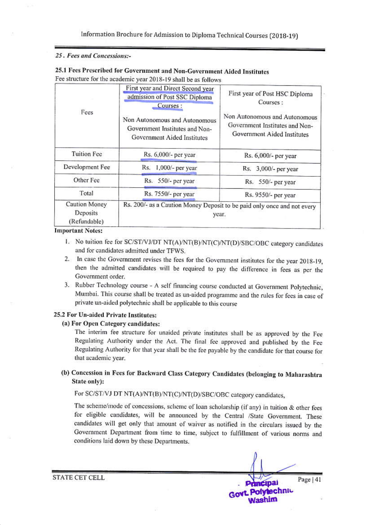Information Brochure for Admission to Diploma Technical Courses (2018-19)

### 25. Fees and Concessions:-

|                                           | First year and Direct Second year<br>admission of Post SSC Diploma<br>Courses:                 | First year of Post HSC Diploma<br>Courses:                                                     |  |
|-------------------------------------------|------------------------------------------------------------------------------------------------|------------------------------------------------------------------------------------------------|--|
| Fees                                      | Non Autonomous and Autonomous<br>Government Institutes and Non-<br>Government Aided Institutes | Non Autonomous and Autonomous<br>Government Institutes and Non-<br>Government Aided Institutes |  |
| <b>Tuition Fee</b>                        | Rs. 6,000/- per year                                                                           | Rs. 6,000/- per year                                                                           |  |
| Development Fee                           | 1,000/- per year<br>Rs.                                                                        | Rs. 3,000/- per year                                                                           |  |
| Other Fee                                 | Rs. 550/- per year                                                                             | Rs. 550/- per year                                                                             |  |
| Total                                     | Rs. 7550/- per year                                                                            | Rs. 9550/- per year                                                                            |  |
| Caution Money<br>Deposits<br>(Refundable) | Rs. 200/- as a Caution Money Deposit to be paid only once and not every<br>year.               |                                                                                                |  |

## 25.1 Fees Prescribed for Government and Non-Government Aided Institutes Fee structure for the academic year 2018-19 shall be as follows.

#### **Important Notes:**

- 1. No tuition fee for SC/ST/VJ/DT NT(A)/NT(B)/NT(C)/NT(D)/SBC/OBC category candidates and for candidates admitted under TFWS.
- 2. In case the Government revises the fees for the Government institutes for the year 2018-19, then the admitted candidates will be required to pay the difference in fees as per the Government order.
- 3. Rubber Technology course A self financing course conducted at Government Polytechnic, Mumbai. This course shall be treated as un-aided programme and the rules for fees in case of private un-aided polytechnic shall be applicable to this course

## 25.2 For Un-aided Private Institutes:

#### (a) For Open Category candidates:

The interim fee structure for unaided private institutes shall be as approved by the Fee Regulating Authority under the Act. The final fee approved and published by the Fee Regulating Authority for that year shall be the fee payable by the candidate for that course for that academic year.

## (b) Concession in Fees for Backward Class Category Candidates (belonging to Maharashtra State only):

## For SC/ST/VJ DT NT(A)/NT(B)/NT(C)/NT(D)/SBC/OBC category candidates,

The scheme/mode of concessions, scheme of loan scholarship (if any) in tuition & other fees for eligible candidates, will be announced by the Central /State Government. These candidates will get only that amount of waiver as notified in the circulars issued by the Government Department from time to time, subject to fulfillment of various norms and conditions laid down by these Departments.

Page  $|41$ Principal Govt Polytechnic **Nashim** 

**STATE CET CELL**